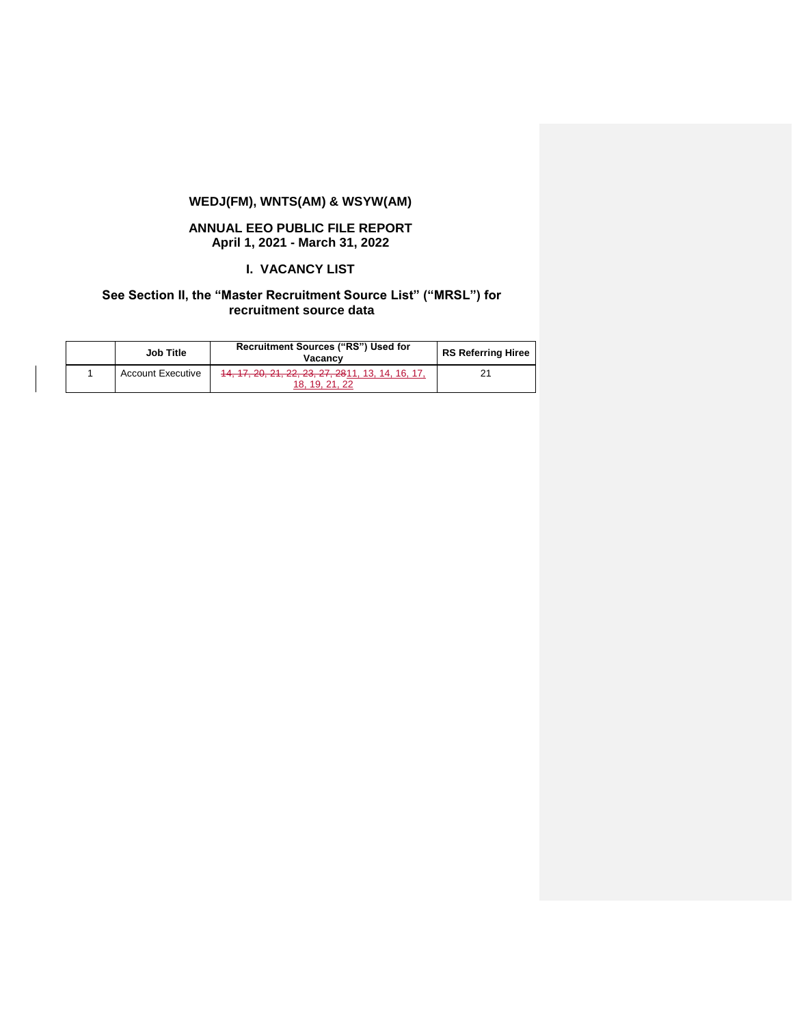# **WEDJ(FM), WNTS(AM) & WSYW(AM)**

#### **ANNUAL EEO PUBLIC FILE REPORT April 1, 2021 - March 31, 2022**

#### **I. VACANCY LIST**

### **See Section II, the "Master Recruitment Source List" ("MRSL") for recruitment source data**

| Job Title                | Recruitment Sources ("RS") Used for<br>Vacancy                      | RS Referring Hiree |
|--------------------------|---------------------------------------------------------------------|--------------------|
| <b>Account Executive</b> | 14, 17, 20, 21, 22, 23, 27, 2811, 13, 14, 16, 17,<br>18. 19. 21. 22 |                    |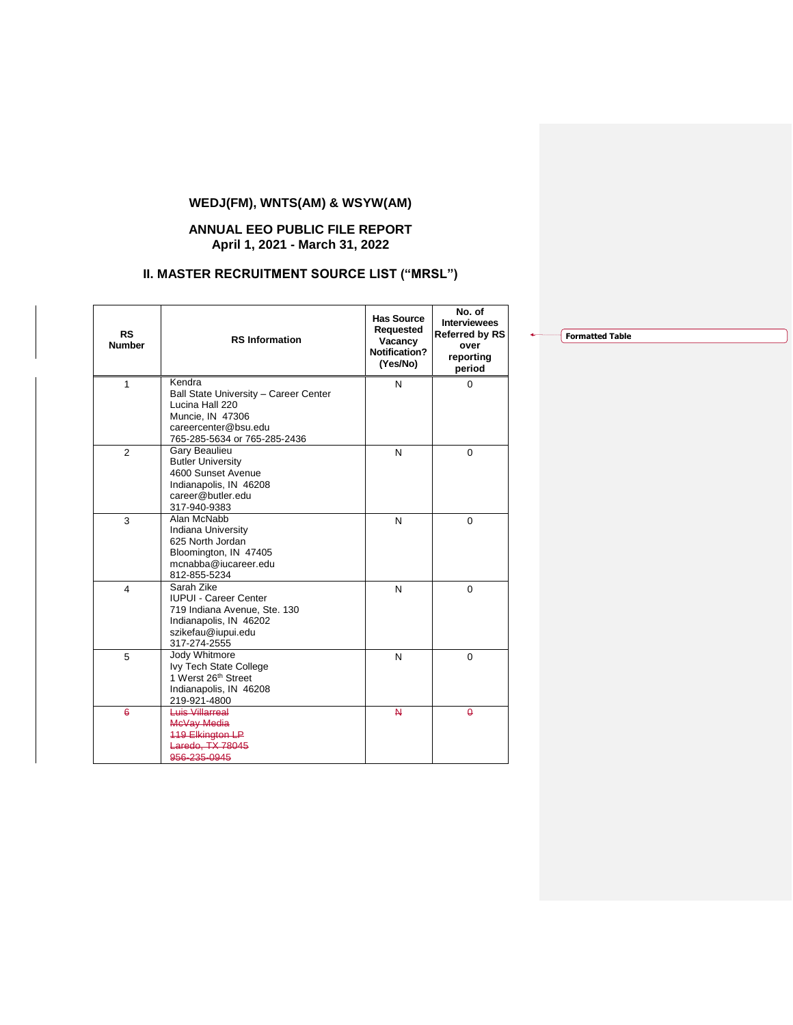# **WEDJ(FM), WNTS(AM) & WSYW(AM)**

### **ANNUAL EEO PUBLIC FILE REPORT April 1, 2021 - March 31, 2022**

# **II. MASTER RECRUITMENT SOURCE LIST ("MRSL")**

| <b>RS</b><br><b>Number</b> | <b>RS</b> Information                                                                                                                          | <b>Has Source</b><br>Requested<br>Vacancy<br>Notification?<br>(Yes/No) | No. of<br><b>Interviewees</b><br><b>Referred by RS</b><br>over<br>reporting<br>period |
|----------------------------|------------------------------------------------------------------------------------------------------------------------------------------------|------------------------------------------------------------------------|---------------------------------------------------------------------------------------|
| $\mathbf{1}$               | Kendra<br>Ball State University - Career Center<br>Lucina Hall 220<br>Muncie, IN 47306<br>careercenter@bsu.edu<br>765-285-5634 or 765-285-2436 | N                                                                      | $\Omega$                                                                              |
| $\overline{2}$             | Gary Beaulieu<br><b>Butler University</b><br>4600 Sunset Avenue<br>Indianapolis, IN 46208<br>career@butler.edu<br>317-940-9383                 | N                                                                      | $\Omega$                                                                              |
| 3                          | Alan McNabb<br>Indiana University<br>625 North Jordan<br>Bloomington, IN 47405<br>mcnabba@iucareer.edu<br>812-855-5234                         | N                                                                      | 0                                                                                     |
| 4                          | Sarah Zike<br><b>IUPUI - Career Center</b><br>719 Indiana Avenue, Ste. 130<br>Indianapolis, IN 46202<br>szikefau@iupui.edu<br>317-274-2555     | N                                                                      | $\Omega$                                                                              |
| 5                          | Jody Whitmore<br>Ivy Tech State College<br>1 Werst 26th Street<br>Indianapolis, IN 46208<br>219-921-4800                                       | N                                                                      | $\Omega$                                                                              |
| $\ddot{\theta}$            | Luis Villarreal<br>McVay Media<br><b>119 Elkington LP</b><br>Laredo, TX 78045<br>956-235-0945                                                  | $\mathsf{N}$                                                           | $\theta$                                                                              |

**Formatted Table**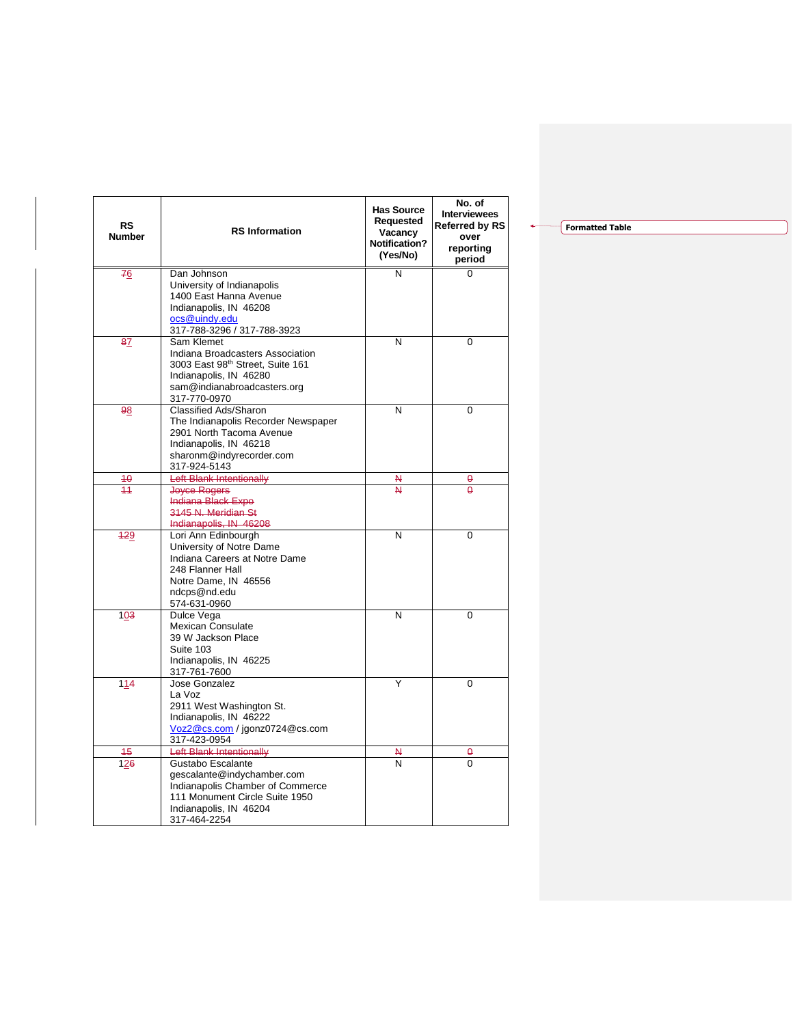| <b>RS</b><br><b>Number</b> | <b>RS</b> Information                                               | <b>Has Source</b><br>Requested<br>Vacancy<br><b>Notification?</b><br>(Yes/No) | No. of<br><b>Interviewees</b><br><b>Referred by RS</b><br>over<br>reporting<br>period |
|----------------------------|---------------------------------------------------------------------|-------------------------------------------------------------------------------|---------------------------------------------------------------------------------------|
| 76                         | Dan Johnson                                                         | N                                                                             | $\Omega$                                                                              |
|                            | University of Indianapolis                                          |                                                                               |                                                                                       |
|                            | 1400 East Hanna Avenue                                              |                                                                               |                                                                                       |
|                            | Indianapolis, IN 46208                                              |                                                                               |                                                                                       |
|                            | ocs@uindy.edu<br>317-788-3296 / 317-788-3923                        |                                                                               |                                                                                       |
| 87                         | Sam Klemet                                                          | N                                                                             | 0                                                                                     |
|                            | Indiana Broadcasters Association                                    |                                                                               |                                                                                       |
|                            | 3003 East 98th Street, Suite 161                                    |                                                                               |                                                                                       |
|                            | Indianapolis, IN 46280                                              |                                                                               |                                                                                       |
|                            | sam@indianabroadcasters.org                                         |                                                                               |                                                                                       |
|                            | 317-770-0970                                                        | N                                                                             | $\overline{0}$                                                                        |
| 98                         | <b>Classified Ads/Sharon</b><br>The Indianapolis Recorder Newspaper |                                                                               |                                                                                       |
|                            | 2901 North Tacoma Avenue                                            |                                                                               |                                                                                       |
|                            | Indianapolis, IN 46218                                              |                                                                               |                                                                                       |
|                            | sharonm@indyrecorder.com                                            |                                                                               |                                                                                       |
|                            | 317-924-5143                                                        |                                                                               |                                                                                       |
| 40                         | Left Blank Intentionally                                            | N                                                                             | θ                                                                                     |
| 11                         | <b>Joyce Rogers</b>                                                 | 4                                                                             | A                                                                                     |
|                            | Indiana Black Expo                                                  |                                                                               |                                                                                       |
|                            | 3145 N. Meridian St                                                 |                                                                               |                                                                                       |
| 429                        | Indianapolis, IN 46208<br>Lori Ann Edinbourgh                       | N                                                                             | 0                                                                                     |
|                            | University of Notre Dame                                            |                                                                               |                                                                                       |
|                            | Indiana Careers at Notre Dame                                       |                                                                               |                                                                                       |
|                            | 248 Flanner Hall                                                    |                                                                               |                                                                                       |
|                            | Notre Dame, IN 46556                                                |                                                                               |                                                                                       |
|                            | ndcps@nd.edu                                                        |                                                                               |                                                                                       |
|                            | 574-631-0960                                                        |                                                                               |                                                                                       |
| 103                        | Dulce Vega<br><b>Mexican Consulate</b>                              | N                                                                             | 0                                                                                     |
|                            | 39 W Jackson Place                                                  |                                                                               |                                                                                       |
|                            | Suite 103                                                           |                                                                               |                                                                                       |
|                            | Indianapolis, IN 46225                                              |                                                                               |                                                                                       |
|                            | 317-761-7600                                                        |                                                                               |                                                                                       |
| 114                        | Jose Gonzalez                                                       | Y                                                                             | 0                                                                                     |
|                            | La Voz                                                              |                                                                               |                                                                                       |
|                            | 2911 West Washington St.                                            |                                                                               |                                                                                       |
|                            | Indianapolis, IN 46222<br>Voz2@cs.com / jgonz0724@cs.com            |                                                                               |                                                                                       |
|                            | 317-423-0954                                                        |                                                                               |                                                                                       |
| 45                         | <b>Left Blank Intentionally</b>                                     | N                                                                             | θ                                                                                     |
| 126                        | Gustabo Escalante                                                   | $\overline{\mathsf{N}}$                                                       | 0                                                                                     |
|                            | gescalante@indychamber.com                                          |                                                                               |                                                                                       |
|                            | Indianapolis Chamber of Commerce                                    |                                                                               |                                                                                       |
|                            | 111 Monument Circle Suite 1950                                      |                                                                               |                                                                                       |
|                            | Indianapolis, IN 46204                                              |                                                                               |                                                                                       |
|                            | 317-464-2254                                                        |                                                                               |                                                                                       |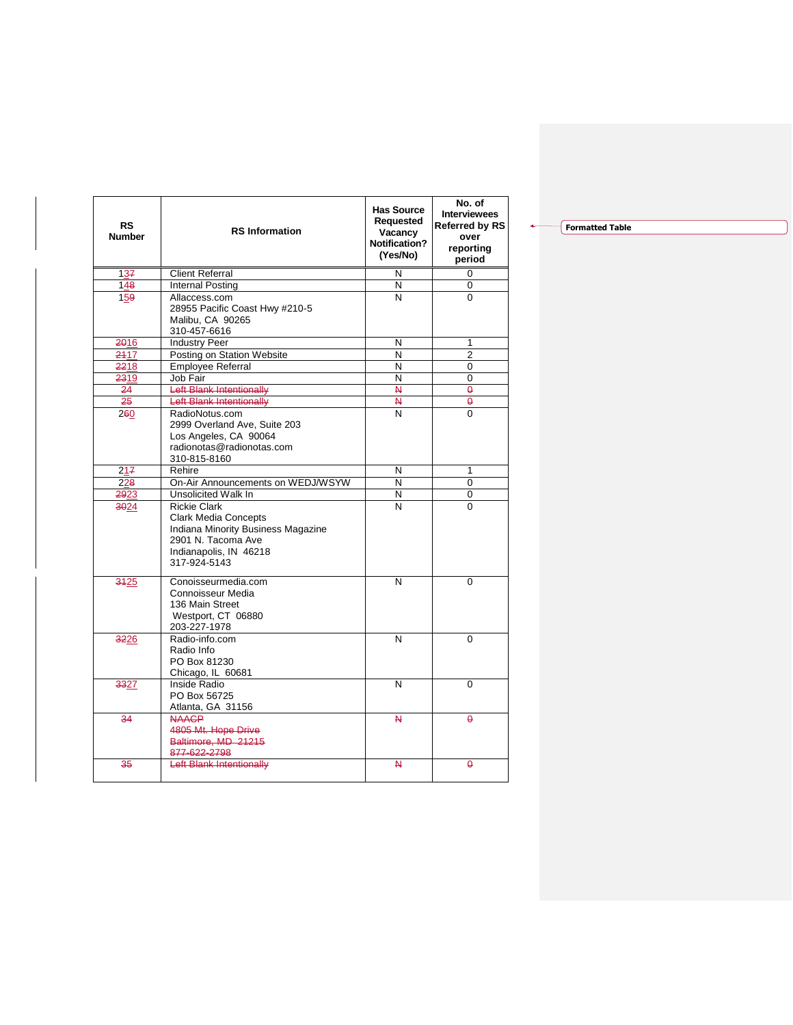| RS<br><b>Number</b> | <b>RS</b> Information                                                                                                                                    | <b>Has Source</b><br>Requested<br>Vacancy<br><b>Notification?</b><br>(Yes/No) | No. of<br><b>Interviewees</b><br><b>Referred by RS</b><br>over<br>reporting<br>period |
|---------------------|----------------------------------------------------------------------------------------------------------------------------------------------------------|-------------------------------------------------------------------------------|---------------------------------------------------------------------------------------|
| 137                 | <b>Client Referral</b>                                                                                                                                   | N                                                                             | 0                                                                                     |
| 148                 | <b>Internal Posting</b>                                                                                                                                  | N                                                                             | 0                                                                                     |
| 159                 | Allaccess.com<br>28955 Pacific Coast Hwy #210-5<br>Malibu, CA 90265<br>310-457-6616                                                                      | N                                                                             | 0                                                                                     |
| 2016                | <b>Industry Peer</b>                                                                                                                                     | N                                                                             | 1                                                                                     |
| 2417                | Posting on Station Website                                                                                                                               | N                                                                             | $\overline{2}$                                                                        |
| 2218                | <b>Employee Referral</b>                                                                                                                                 | N                                                                             | 0                                                                                     |
| 2319                | Job Fair                                                                                                                                                 | N                                                                             | 0                                                                                     |
| 24                  | Left Blank Intentionally                                                                                                                                 | $\overline{M}$                                                                | $\overline{\mathbf{a}}$                                                               |
| 25                  | Left Blank Intentionally                                                                                                                                 | Ν.                                                                            | $\theta$                                                                              |
| 260                 | RadioNotus.com<br>2999 Overland Ave, Suite 203<br>Los Angeles, CA 90064<br>radionotas@radionotas.com<br>310-815-8160                                     | N                                                                             | $\overline{0}$                                                                        |
| 217                 | Rehire                                                                                                                                                   | N                                                                             | $\mathbf{1}$                                                                          |
| 228                 | On-Air Announcements on WEDJ/WSYW                                                                                                                        | N                                                                             | 0                                                                                     |
| 2923                | Unsolicited Walk In                                                                                                                                      | N                                                                             | 0                                                                                     |
| $-3024$             | <b>Rickie Clark</b><br><b>Clark Media Concepts</b><br>Indiana Minority Business Magazine<br>2901 N. Tacoma Ave<br>Indianapolis, IN 46218<br>317-924-5143 | N                                                                             | 0                                                                                     |
| 3425                | Conoisseurmedia.com<br>N<br>Connoisseur Media<br>136 Main Street<br>Westport, CT 06880<br>203-227-1978                                                   |                                                                               | 0                                                                                     |
| 3226                | N<br>Radio-info.com<br>Radio Info<br>PO Box 81230<br>Chicago, IL 60681                                                                                   |                                                                               | $\Omega$                                                                              |
| 3327                | Inside Radio<br>N<br>PO Box 56725<br>Atlanta, GA 31156                                                                                                   |                                                                               | 0                                                                                     |
| 34                  | <b>NAACP</b><br>4805 Mt. Hope Drive<br>Baltimore, MD 21215<br>877-622-2798                                                                               | И                                                                             | 0                                                                                     |
| 35                  | Left Blank Intentionally                                                                                                                                 | 4                                                                             | 0                                                                                     |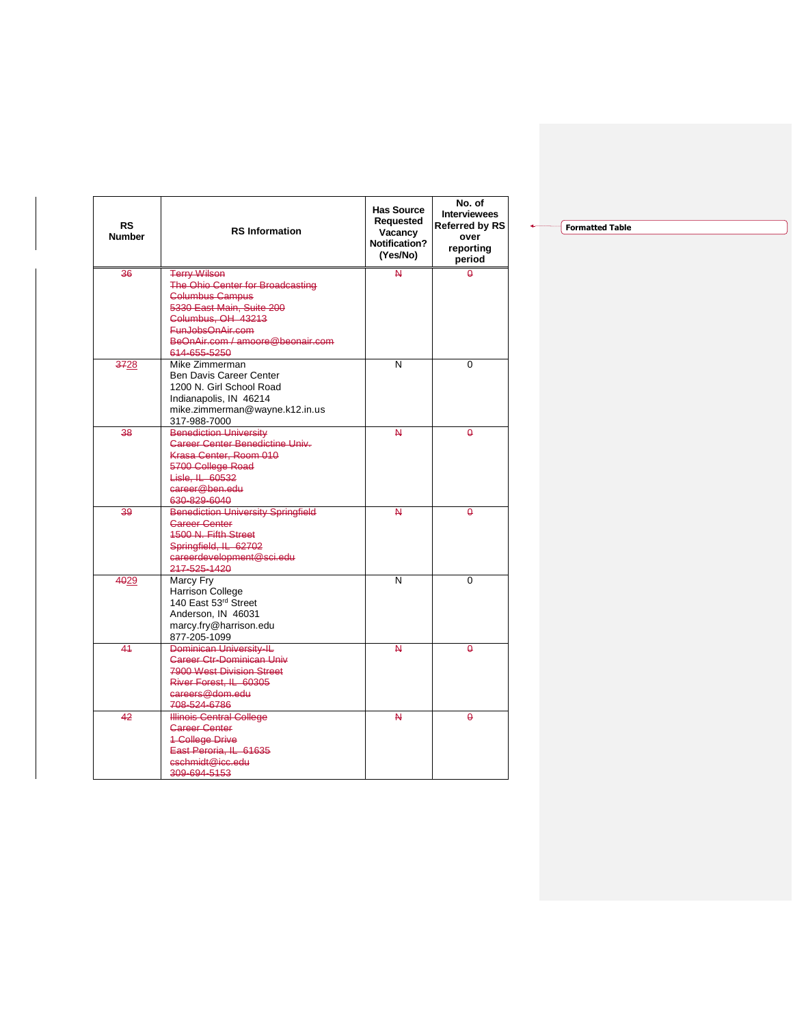| RS<br><b>Number</b> | <b>RS</b> Information                                                                                                                                                                                        | <b>Has Source</b><br>Requested<br>Vacancy<br><b>Notification?</b><br>(Yes/No) | No. of<br><b>Interviewees</b><br><b>Referred by RS</b><br>over<br>reporting<br>period |
|---------------------|--------------------------------------------------------------------------------------------------------------------------------------------------------------------------------------------------------------|-------------------------------------------------------------------------------|---------------------------------------------------------------------------------------|
| 36                  | <b>Terry Wilson</b><br>The Ohio Center for Broadcasting<br><b>Columbus Campus</b><br>5330 East Main, Suite 200<br>Columbus, OH 43213<br>FunJobsOnAir.com<br>BeOnAir.com / amoore@beonair.com<br>614-655-5250 | $\overline{\mathsf{M}}$                                                       | $\theta$                                                                              |
| 3728                | Mike Zimmerman<br><b>Ben Davis Career Center</b><br>1200 N. Girl School Road<br>Indianapolis, IN 46214<br>mike.zimmerman@wayne.k12.in.us<br>317-988-7000                                                     | N                                                                             | 0                                                                                     |
| 38                  | <b>Benediction University</b><br><b>Career Center Benedictine Univ-</b><br>Krasa Center, Room 010<br>5700 College Road<br>Lisle. IL 60532<br>career@ben.edu<br>630-829-6040                                  | 4                                                                             | $\theta$                                                                              |
| 39                  | <b>Benediction University Springfield</b><br><b>Career Center</b><br><b>1500 N. Fifth Street</b><br>Springfield, IL 62702<br>careerdevelopment@sci.edu<br>217-525-1420                                       | N                                                                             | $\theta$                                                                              |
| 4029                | Marcy Fry<br><b>Harrison College</b><br>140 East 53rd Street<br>Anderson, IN 46031<br>marcy.fry@harrison.edu<br>877-205-1099                                                                                 | N                                                                             | 0                                                                                     |
| 41                  | Dominican University-IL<br><b>Gareer Ctr-Dominican Univ</b><br>7900 West Division Street<br>River Forest, IL 60305<br>careers@dom.edu<br>708-524-6786                                                        | N                                                                             | $\theta$                                                                              |
| 42                  | <b>Illinois Central College</b><br><b>Career Center</b><br><b>1 College Drive</b><br>East Peroria, IL 61635<br>cschmidt@icc.edu<br>309-694-5153                                                              | 4                                                                             | $\theta$                                                                              |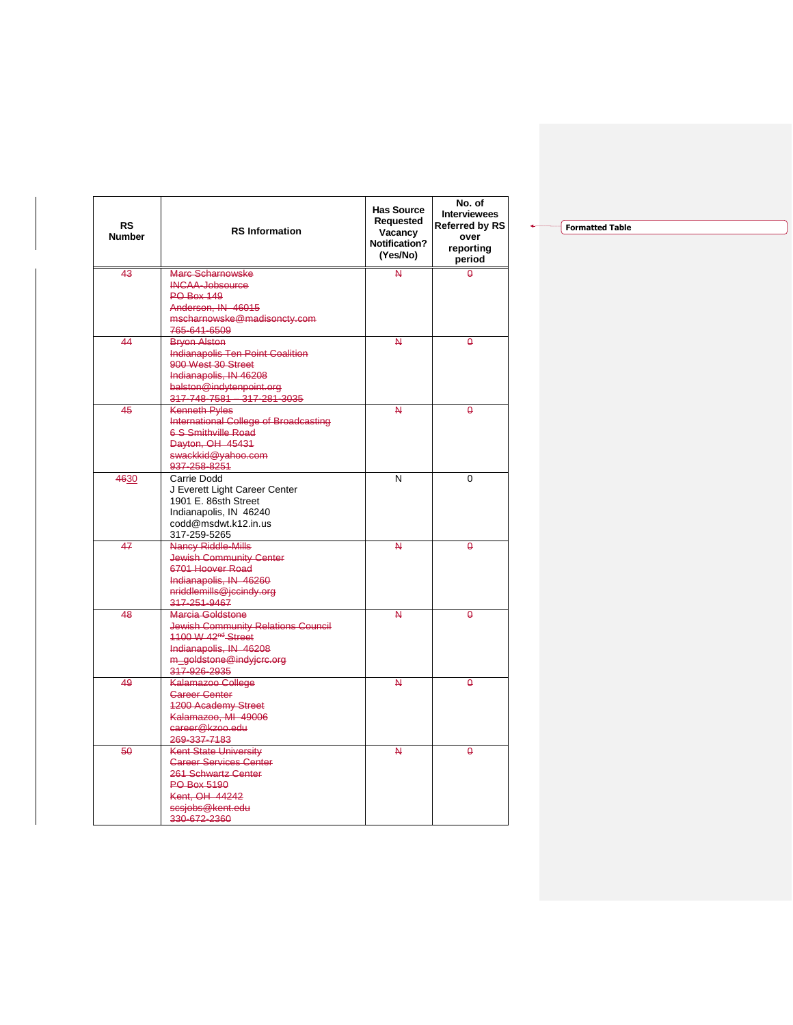| <b>RS</b><br><b>Number</b> | <b>RS</b> Information                                         | <b>Has Source</b><br>Requested<br>Vacancy<br><b>Notification?</b><br>(Yes/No) | No. of<br><b>Interviewees</b><br><b>Referred by RS</b><br>over<br>reporting<br>period |
|----------------------------|---------------------------------------------------------------|-------------------------------------------------------------------------------|---------------------------------------------------------------------------------------|
| 43                         | Marc Scharnowske                                              | $\overline{\mathsf{M}}$                                                       | $\Omega$                                                                              |
|                            | <b>INCAA-Jobsource</b>                                        |                                                                               |                                                                                       |
|                            | <b>PO Box 149</b>                                             |                                                                               |                                                                                       |
|                            | Anderson, IN 46015<br>mscharnowske@madisoncty.com             |                                                                               |                                                                                       |
|                            | 765-641-6509                                                  |                                                                               |                                                                                       |
| 44                         | <b>Bryon Alston</b>                                           | A.                                                                            | θ                                                                                     |
|                            | <b>Indianapolis Ten Point Coalition</b>                       |                                                                               |                                                                                       |
|                            | 900 West 30 Street                                            |                                                                               |                                                                                       |
|                            | Indianapolis, IN 46208                                        |                                                                               |                                                                                       |
|                            | balston@indytenpoint.org<br>317-748-7581 - 317-281-3035       |                                                                               |                                                                                       |
| 45                         | <b>Kenneth Pyles</b>                                          | $\overline{\mathsf{M}}$                                                       | $\theta$                                                                              |
|                            | International College of Broadcasting                         |                                                                               |                                                                                       |
|                            | <b>6-S-Smithville Road</b>                                    |                                                                               |                                                                                       |
|                            | Dayton, OH 45431                                              |                                                                               |                                                                                       |
|                            | swackkid@yahoo.com                                            |                                                                               |                                                                                       |
|                            | 937-258-8251<br>Carrie Dodd                                   |                                                                               | 0                                                                                     |
| 4630                       | J Everett Light Career Center                                 | N                                                                             |                                                                                       |
|                            | 1901 E. 86sth Street                                          |                                                                               |                                                                                       |
|                            | Indianapolis, IN 46240                                        |                                                                               |                                                                                       |
|                            | codd@msdwt.k12.in.us                                          |                                                                               |                                                                                       |
|                            | 317-259-5265                                                  |                                                                               |                                                                                       |
| 47                         | Nancy Riddle-Mills                                            | 4                                                                             | ٥                                                                                     |
|                            | <b>Jewish Community Center</b><br>6701 Hoover Road            |                                                                               |                                                                                       |
|                            | Indianapolis, IN 46260                                        |                                                                               |                                                                                       |
|                            | nriddlemills@jccindy.org                                      |                                                                               |                                                                                       |
|                            | 317-251-9467                                                  |                                                                               |                                                                                       |
| 48                         | Marcia Goldstone                                              | N                                                                             | $\theta$                                                                              |
|                            | <b>Jewish Community Relations Council</b>                     |                                                                               |                                                                                       |
|                            | 1100 W 42 <sup>nd</sup> Street                                |                                                                               |                                                                                       |
|                            | Indianapolis, IN 46208                                        |                                                                               |                                                                                       |
|                            | m_goldstone@indyjcrc.org<br>317-926-2935                      |                                                                               |                                                                                       |
| 49                         | Kalamazoo College                                             | N                                                                             | $\theta$                                                                              |
|                            | <b>Gareer Center</b>                                          |                                                                               |                                                                                       |
|                            | <b>1200 Academy Street</b>                                    |                                                                               |                                                                                       |
|                            | Kalamazoo, MI 49006                                           |                                                                               |                                                                                       |
|                            | career@kzoo.edu                                               |                                                                               |                                                                                       |
|                            | 269-337-7183                                                  |                                                                               |                                                                                       |
| 50                         | <b>Kent State University</b><br><b>Career Services Center</b> | 4                                                                             | $\theta$                                                                              |
|                            | 261 Schwartz Center                                           |                                                                               |                                                                                       |
|                            | <b>PO Box 5190</b>                                            |                                                                               |                                                                                       |
|                            | Kent, OH 44242                                                |                                                                               |                                                                                       |
|                            | scsjobs@kent.edu                                              |                                                                               |                                                                                       |
|                            | 330-672-2360                                                  |                                                                               |                                                                                       |

٠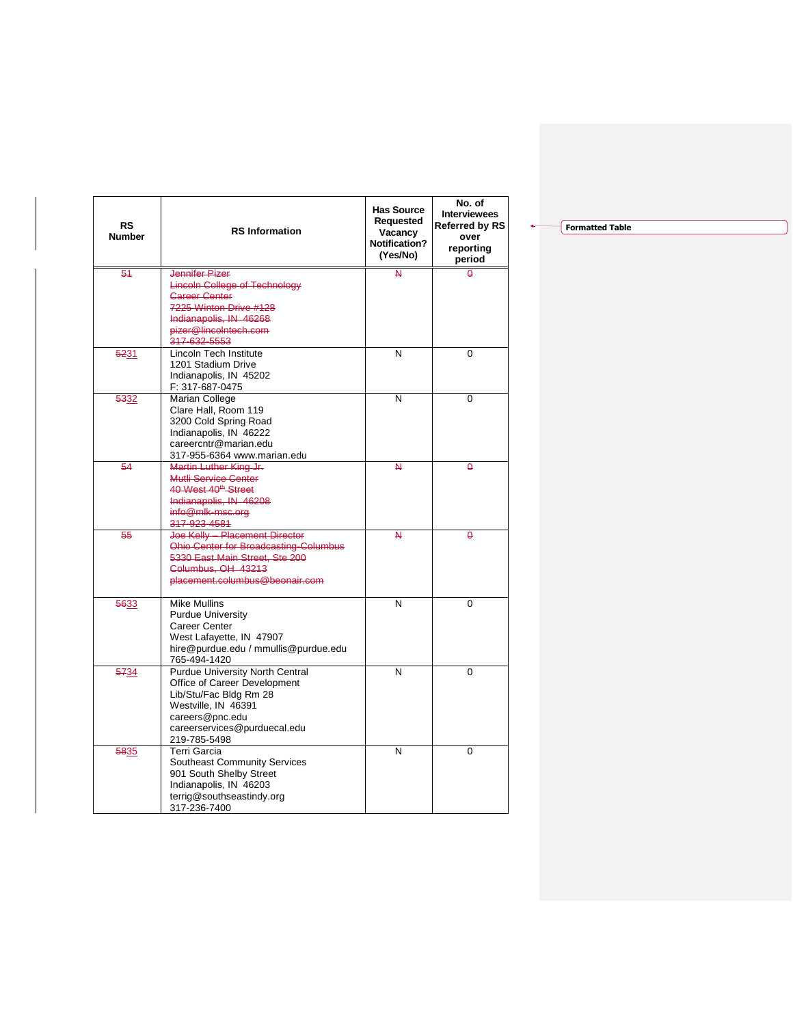| <b>RS</b><br><b>Number</b> | <b>RS</b> Information                                                  | <b>Has Source</b><br>Requested<br>Vacancy<br><b>Notification?</b><br>(Yes/No) | No. of<br><b>Interviewees</b><br><b>Referred by RS</b><br>over<br>reporting<br>period |
|----------------------------|------------------------------------------------------------------------|-------------------------------------------------------------------------------|---------------------------------------------------------------------------------------|
| 54                         | <b>Jennifer Pizer</b>                                                  | $\overline{\mathsf{M}}$                                                       | $\overline{a}$                                                                        |
|                            | <b>Lincoln College of Technology</b><br><b>Career Center</b>           |                                                                               |                                                                                       |
|                            | 7225 Winton Drive #128                                                 |                                                                               |                                                                                       |
|                            | Indianapolis, IN 46268                                                 |                                                                               |                                                                                       |
|                            | pizer@lincoIntech.com                                                  |                                                                               |                                                                                       |
| 5231                       | 317-632-5553<br><b>Lincoln Tech Institute</b>                          | N                                                                             | 0                                                                                     |
|                            | 1201 Stadium Drive                                                     |                                                                               |                                                                                       |
|                            | Indianapolis, IN 45202                                                 |                                                                               |                                                                                       |
|                            | F: 317-687-0475                                                        |                                                                               |                                                                                       |
| 5332                       | Marian College<br>Clare Hall, Room 119                                 | N                                                                             | 0                                                                                     |
|                            | 3200 Cold Spring Road                                                  |                                                                               |                                                                                       |
|                            | Indianapolis, IN 46222                                                 |                                                                               |                                                                                       |
|                            | careercntr@marian.edu                                                  |                                                                               |                                                                                       |
| 54                         | 317-955-6364 www.marian.edu<br>Martin Luther King Jr.                  | 4                                                                             | A                                                                                     |
|                            | Mutli Service Center                                                   |                                                                               |                                                                                       |
|                            | 40 West 40 <sup>th</sup> Street                                        |                                                                               |                                                                                       |
|                            | Indianapolis, IN 46208                                                 |                                                                               |                                                                                       |
|                            | info@mlk-msc.org<br>317-923-4581                                       |                                                                               |                                                                                       |
| 55                         | Joe Kelly Placement Director                                           | N                                                                             | 0                                                                                     |
|                            | Ohio Center for Broadcasting-Columbus                                  |                                                                               |                                                                                       |
|                            | 5330 East Main Street, Ste 200                                         |                                                                               |                                                                                       |
|                            | Columbus, OH 43213<br>placement.columbus@beonair.com                   |                                                                               |                                                                                       |
|                            |                                                                        |                                                                               |                                                                                       |
| 5633                       | <b>Mike Mullins</b>                                                    | N                                                                             | 0                                                                                     |
|                            | <b>Purdue University</b><br>Career Center                              |                                                                               |                                                                                       |
|                            | West Lafayette, IN 47907                                               |                                                                               |                                                                                       |
|                            | hire@purdue.edu / mmullis@purdue.edu                                   |                                                                               |                                                                                       |
|                            | 765-494-1420                                                           |                                                                               |                                                                                       |
| 5734                       | <b>Purdue University North Central</b><br>Office of Career Development | N                                                                             | 0                                                                                     |
|                            | Lib/Stu/Fac Bldg Rm 28                                                 |                                                                               |                                                                                       |
|                            | Westville, IN 46391                                                    |                                                                               |                                                                                       |
|                            | careers@pnc.edu                                                        |                                                                               |                                                                                       |
|                            | careerservices@purduecal.edu<br>219-785-5498                           |                                                                               |                                                                                       |
| 5835                       | Terri Garcia                                                           | N                                                                             | 0                                                                                     |
|                            | <b>Southeast Community Services</b>                                    |                                                                               |                                                                                       |
|                            | 901 South Shelby Street                                                |                                                                               |                                                                                       |
|                            | Indianapolis, IN 46203<br>terrig@southseastindy.org                    |                                                                               |                                                                                       |
|                            | 317-236-7400                                                           |                                                                               |                                                                                       |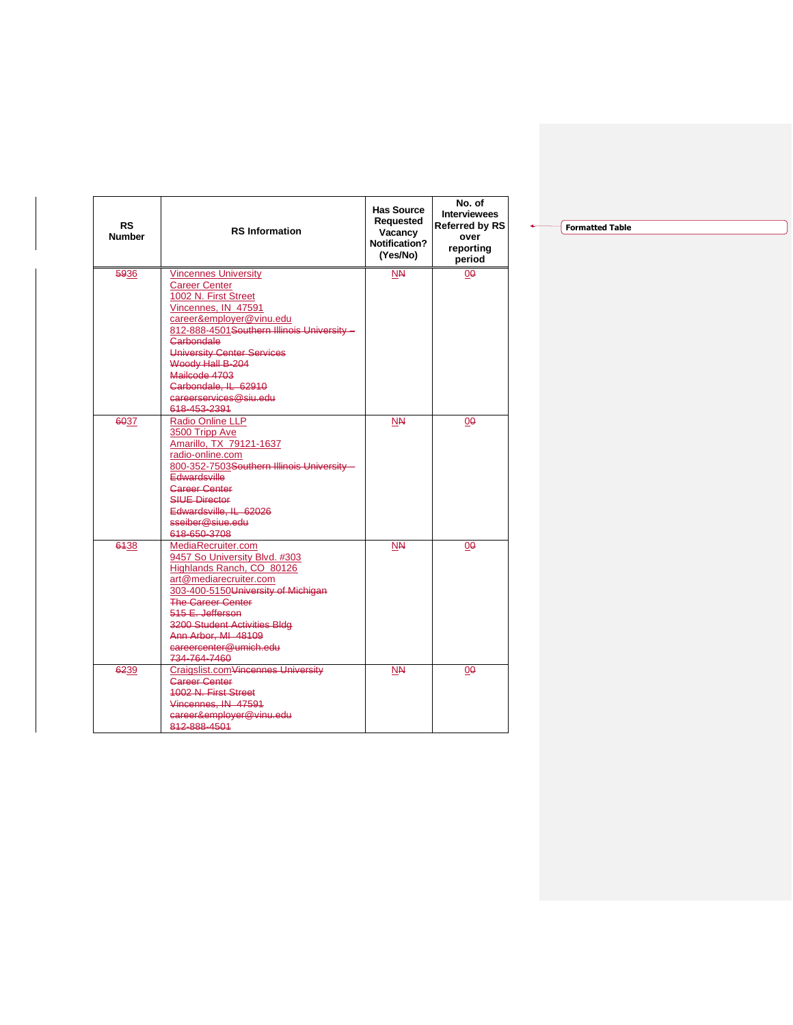| <b>RS</b><br><b>Number</b> | <b>RS</b> Information                                                                                                                                                                                                                                                                                                            | <b>Has Source</b><br>Requested<br>Vacancy<br><b>Notification?</b><br>(Yes/No) | No. of<br><b>Interviewees</b><br><b>Referred by RS</b><br>over<br>reporting<br>period |
|----------------------------|----------------------------------------------------------------------------------------------------------------------------------------------------------------------------------------------------------------------------------------------------------------------------------------------------------------------------------|-------------------------------------------------------------------------------|---------------------------------------------------------------------------------------|
| 5936                       | <b>Vincennes University</b><br><b>Career Center</b><br>1002 N. First Street<br>Vincennes, IN 47591<br>career&employer@vinu.edu<br>812-888-4501 Southern Illinois University -<br>Carbondale<br>University Center Services<br>Woody Hall B-204<br>Mailcode 4703<br>Carbondale, IL 62910<br>careerservices@siu.edu<br>618-453-2391 | <b>NN</b>                                                                     | 00                                                                                    |
| 6037                       | <b>Radio Online LLP</b><br>3500 Tripp Ave<br>Amarillo, TX 79121-1637<br>radio-online.com<br>800-352-7503Southern Illinois University -<br>Edwardsville<br><b>Gareer Center</b><br><b>SILIE Director</b><br>Edwardsville, IL 62026<br>sseiber@siue.edu<br>618-650-3708                                                            | <b>NN</b>                                                                     | 00                                                                                    |
| 6438                       | MediaRecruiter.com<br>9457 So University Blvd. #303<br>Highlands Ranch, CO 80126<br>art@mediarecruiter.com<br>303-400-5150University of Michigan<br><b>The Career Center</b><br>515 E. Jefferson<br>3200 Student Activities Bldg<br>Ann Arbor, MI 48109<br>careercenter@umich.edu<br>734-764-7460                                | <b>NN</b>                                                                     | 00                                                                                    |
| 6239                       | Craigslist.comVincennes University<br><b>Career Center</b><br><b>1002 N. First Street</b><br>Vincennes. IN 47591<br>career&employer@vinu.edu<br>812-888-4501                                                                                                                                                                     | ΝN                                                                            | 00                                                                                    |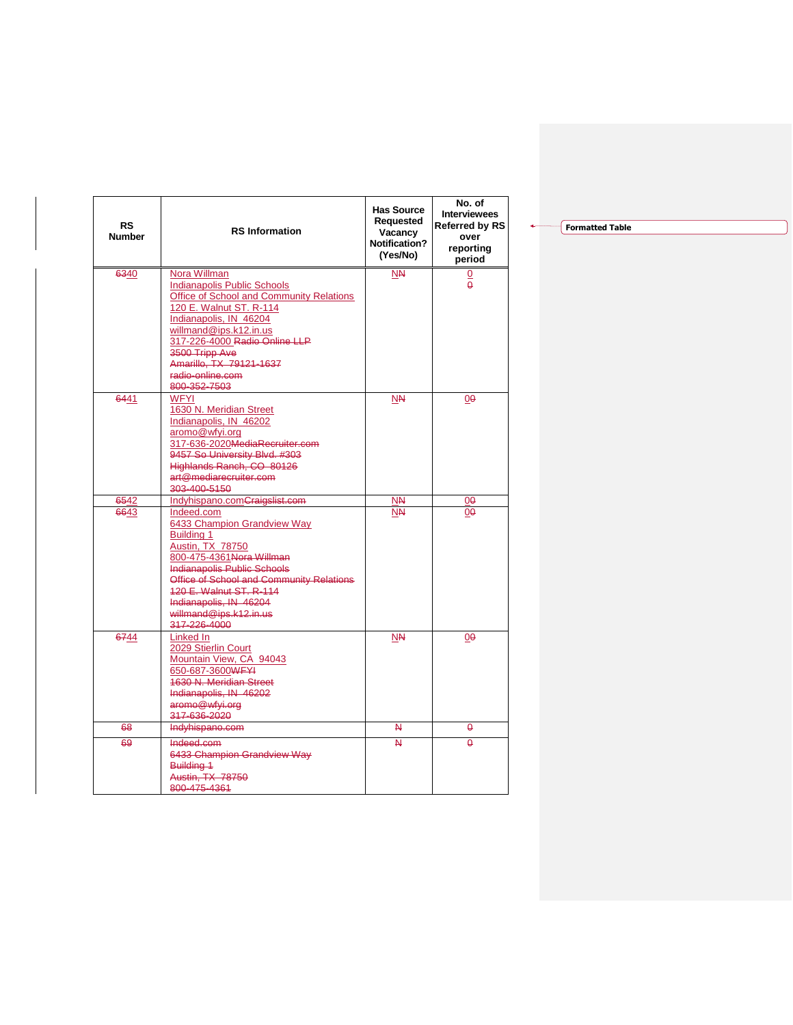| <b>RS</b><br><b>Number</b> | <b>RS</b> Information                                                                                                                                                                                                                                                                            | <b>Has Source</b><br>Requested<br>Vacancy<br>Notification?<br>(Yes/No) | No. of<br><b>Interviewees</b><br>Referred by RS<br>over<br>reporting<br>period |
|----------------------------|--------------------------------------------------------------------------------------------------------------------------------------------------------------------------------------------------------------------------------------------------------------------------------------------------|------------------------------------------------------------------------|--------------------------------------------------------------------------------|
| 6340                       | Nora Willman<br><b>Indianapolis Public Schools</b><br>Office of School and Community Relations<br>120 E. Walnut ST. R-114<br>Indianapolis, IN 46204<br>willmand@ips.k12.in.us<br>317-226-4000 Radio Online LLP<br>3500 Tripp Ave                                                                 | <b>NN</b>                                                              | <u>0</u><br>$\theta$                                                           |
| 6441                       | Amarillo, TX 79121-1637<br>radio-online.com<br>800-352-7503<br><b>WFYI</b>                                                                                                                                                                                                                       | <b>NN</b>                                                              |                                                                                |
|                            | 1630 N. Meridian Street<br>Indianapolis, IN 46202<br>aromo@wfyi.org<br>317-636-2020MediaRecruiter.com<br>9457 So University Blvd. #303<br>Highlands Ranch, CO 80126<br>art@mediarecruiter.com<br>303-400-5150                                                                                    |                                                                        | 00                                                                             |
| 6542                       | Indyhispano.comCraigslist.com                                                                                                                                                                                                                                                                    | ΝN                                                                     | 00                                                                             |
| 6643                       | Indeed.com<br>6433 Champion Grandview Way<br>Building 1<br><b>Austin, TX 78750</b><br>800-475-4361 Nora Willman<br><b>Indianapolis Public Schools</b><br>Office of School and Community Relations<br>120 E. Walnut ST. R-114<br>Indianapolis, IN 46204<br>willmand@ips.k12.in.us<br>317-226-4000 | <b>NN</b>                                                              | 00                                                                             |
| 6744                       | Linked In<br>2029 Stierlin Court<br>Mountain View, CA 94043<br>650-687-3600WFYI<br><b>1630 N. Meridian Street</b><br>Indianapolis, IN 46202<br>aromo@wfyi.org<br>317-636-2020                                                                                                                    | <b>NN</b>                                                              | 00                                                                             |
| 68                         | Indyhispano.com                                                                                                                                                                                                                                                                                  | N                                                                      | θ                                                                              |
| 69                         | Indeed.com<br>6433 Champion Grandview Way<br>Building 1<br><b>Austin, TX 78750</b><br>800-475-4361                                                                                                                                                                                               | $\overline{\mathsf{M}}$                                                | $\theta$                                                                       |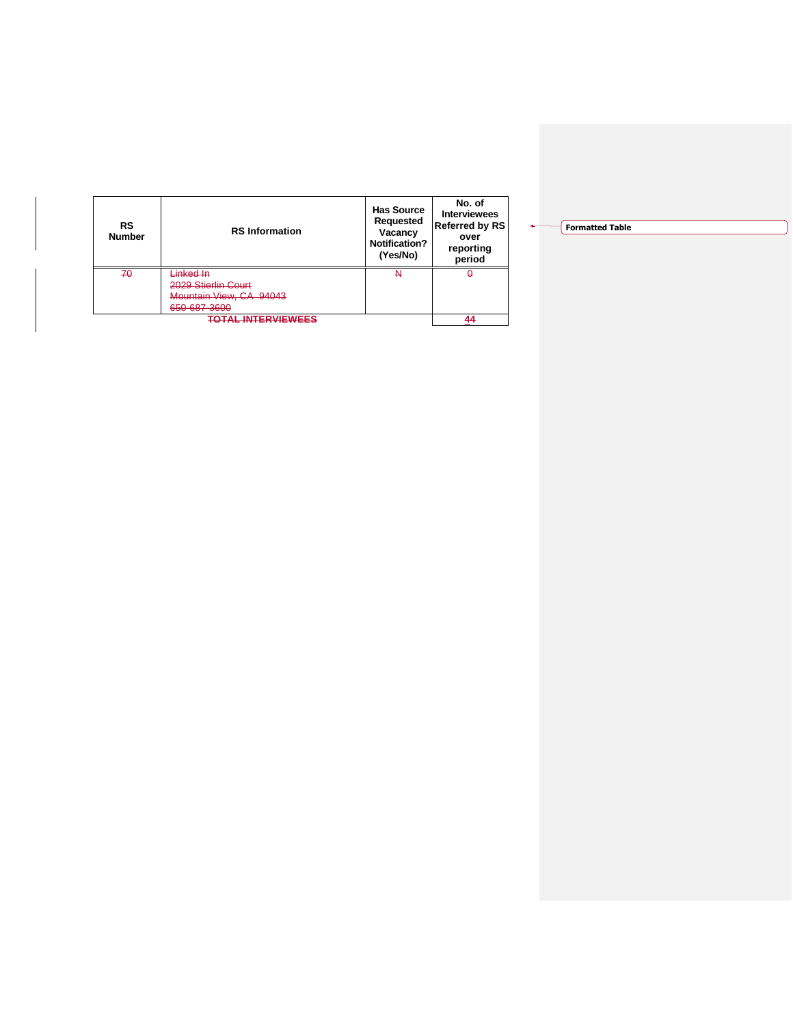| <b>RS</b><br><b>Number</b> | <b>RS</b> Information   | <b>Has Source</b><br>Requested<br>Vacancy<br>Notification?<br>(Yes/No) | No. of<br><b>Interviewees</b><br><b>Referred by RS</b><br>over<br>reporting<br>period |
|----------------------------|-------------------------|------------------------------------------------------------------------|---------------------------------------------------------------------------------------|
| 70                         | Linked In               | Ν                                                                      | Ő                                                                                     |
|                            | 2029 Stierlin Court     |                                                                        |                                                                                       |
|                            | Mountain View, CA 94043 |                                                                        |                                                                                       |
|                            | 650-687-3600            |                                                                        |                                                                                       |
| <u>TOTAL INTERVIEWEES</u>  |                         |                                                                        |                                                                                       |